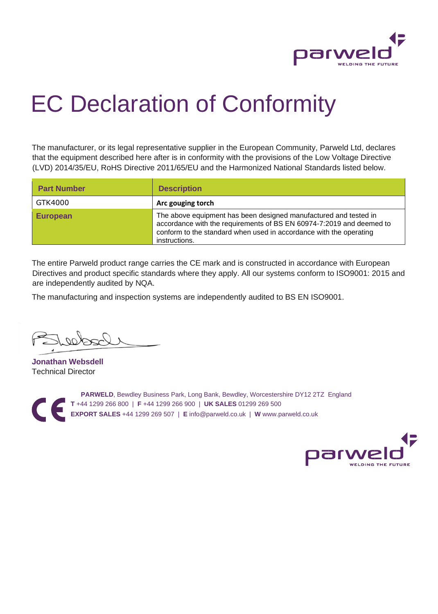

## EC Declaration of Conformity

The manufacturer, or its legal representative supplier in the European Community, Parweld Ltd, declares that the equipment described here after is in conformity with the provisions of the Low Voltage Directive (LVD) 2014/35/EU, RoHS Directive 2011/65/EU and the Harmonized National Standards listed below.

| <b>Part Number</b> | <b>Description</b>                                                                                                                                                                                                              |
|--------------------|---------------------------------------------------------------------------------------------------------------------------------------------------------------------------------------------------------------------------------|
| GTK4000            | Arc gouging torch                                                                                                                                                                                                               |
| <b>European</b>    | The above equipment has been designed manufactured and tested in<br>accordance with the requirements of BS EN 60974-7:2019 and deemed to<br>conform to the standard when used in accordance with the operating<br>instructions. |

The entire Parweld product range carries the CE mark and is constructed in accordance with European Directives and product specific standards where they apply. All our systems conform to ISO9001: 2015 and are independently audited by NQA.

The manufacturing and inspection systems are independently audited to BS EN ISO9001.

**Jonathan Websdell** Technical Director

**PARWELD**, Bewdley Business Park, Long Bank, Bewdley, Worcestershire DY12 2TZ England  $\epsilon$ **T** +44 1299 266 800 | **F** +44 1299 266 900 | **UK SALES** 01299 269 500 **EXPORT SALES** +44 1299 269 507 | **E** info@parweld.co.uk | **W** www.parweld.co.uk